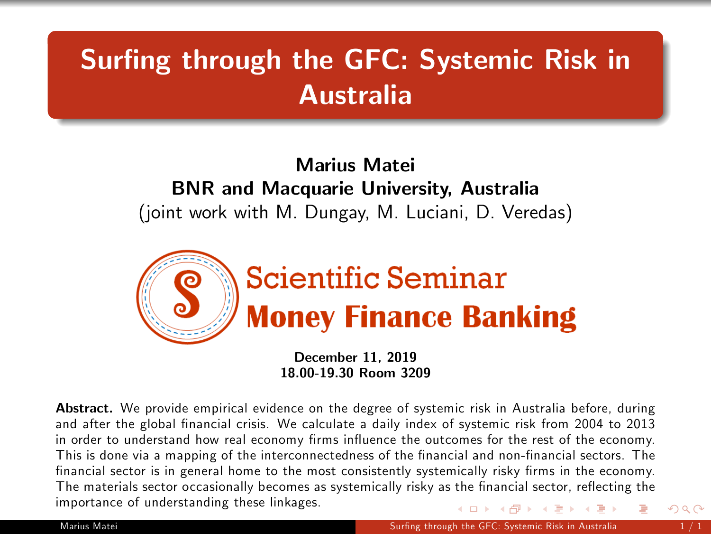## Surfing through the GFC: Systemic Risk in Australia

## Marius Matei BNR and Macquarie University, Australia (joint work with M. Dungay, M. Luciani, D. Veredas)



<span id="page-0-0"></span>December 11, 2019 18.00-19.30 Room 3209

Abstract. We provide empirical evidence on the degree of systemic risk in Australia before, during and after the global financial crisis. We calculate a daily index of systemic risk from 2004 to 2013 in order to understand how real economy firms influence the outcomes for the rest of the economy. This is done via a mapping of the interconnectedness of the financial and non-financial sectors. The financial sector is in general home to the most consistently systemically risky firms in the economy. The materials sector occasionally becomes as systemically risky as the financial sector, reflecting the importance of understanding these linkages. ( ロ ) ( 何 ) ( ヨ ) ( ヨ